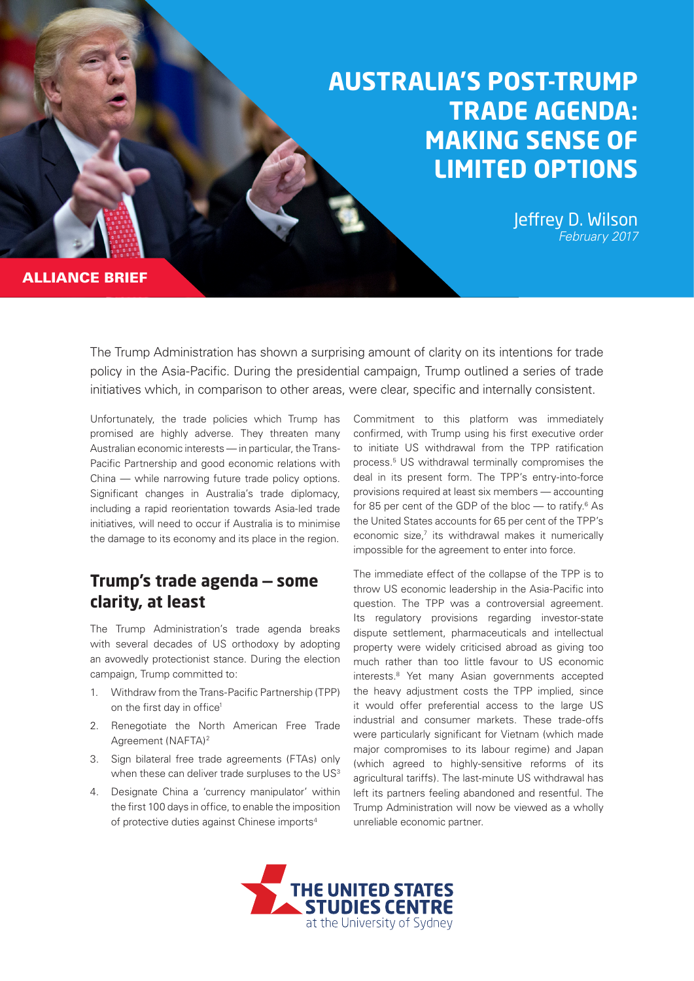# **AUSTRALIA'S POST-TRUMP TRADE AGENDA: MAKING SENSE OF LIMITED OPTIONS**

Jeffrey D. Wilson *February 2017*

ALLIANCE BRIEF

The Trump Administration has shown a surprising amount of clarity on its intentions for trade policy in the Asia-Pacific. During the presidential campaign, Trump outlined a series of trade initiatives which, in comparison to other areas, were clear, specific and internally consistent.

Unfortunately, the trade policies which Trump has promised are highly adverse. They threaten many Australian economic interests — in particular, the Trans-Pacific Partnership and good economic relations with China — while narrowing future trade policy options. Significant changes in Australia's trade diplomacy, including a rapid reorientation towards Asia-led trade initiatives, will need to occur if Australia is to minimise the damage to its economy and its place in the region.

#### **Trump's trade agenda — some clarity, at least**

The Trump Administration's trade agenda breaks with several decades of US orthodoxy by adopting an avowedly protectionist stance. During the election campaign, Trump committed to:

- 1. Withdraw from the Trans-Pacific Partnership (TPP) on the first day in office<sup>1</sup>
- 2. Renegotiate the North American Free Trade Agreement (NAFTA)2
- 3. Sign bilateral free trade agreements (FTAs) only when these can deliver trade surpluses to the US<sup>3</sup>
- 4. Designate China a 'currency manipulator' within the first 100 days in office, to enable the imposition of protective duties against Chinese imports<sup>4</sup>

Commitment to this platform was immediately confirmed, with Trump using his first executive order to initiate US withdrawal from the TPP ratification process.5 US withdrawal terminally compromises the deal in its present form. The TPP's entry-into-force provisions required at least six members — accounting for 85 per cent of the GDP of the bloc  $-$  to ratify.<sup>6</sup> As the United States accounts for 65 per cent of the TPP's economic size,<sup>7</sup> its withdrawal makes it numerically impossible for the agreement to enter into force.

The immediate effect of the collapse of the TPP is to throw US economic leadership in the Asia-Pacific into question. The TPP was a controversial agreement. Its regulatory provisions regarding investor-state dispute settlement, pharmaceuticals and intellectual property were widely criticised abroad as giving too much rather than too little favour to US economic interests.8 Yet many Asian governments accepted the heavy adjustment costs the TPP implied, since it would offer preferential access to the large US industrial and consumer markets. These trade-offs were particularly significant for Vietnam (which made major compromises to its labour regime) and Japan (which agreed to highly-sensitive reforms of its agricultural tariffs). The last-minute US withdrawal has left its partners feeling abandoned and resentful. The Trump Administration will now be viewed as a wholly unreliable economic partner.

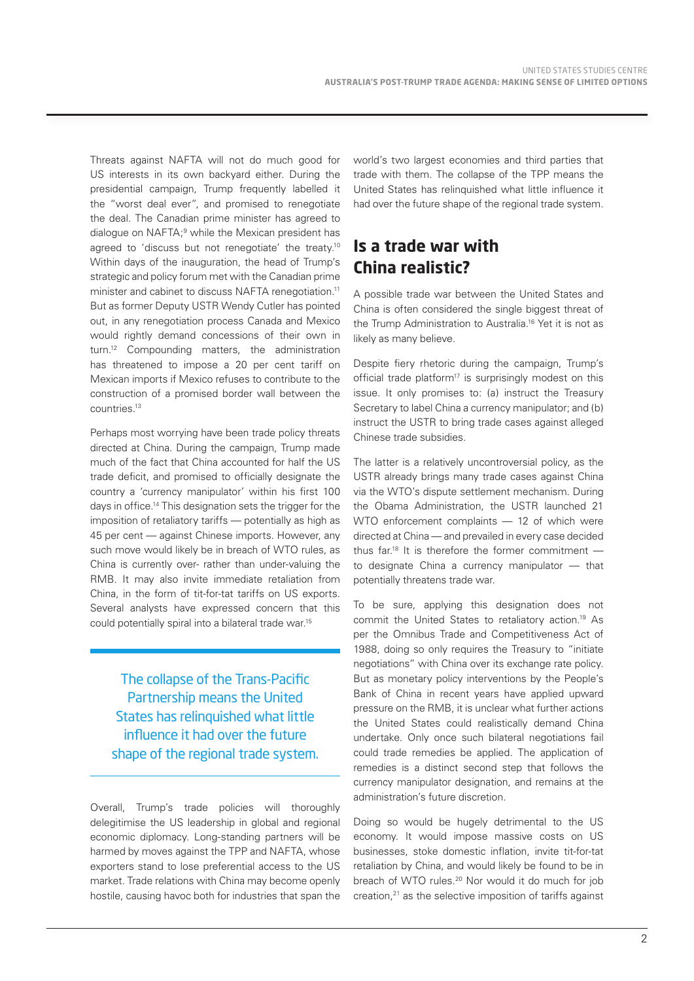Threats against NAFTA will not do much good for US interests in its own backyard either. During the presidential campaign, Trump frequently labelled it the "worst deal ever", and promised to renegotiate the deal. The Canadian prime minister has agreed to dialogue on NAFTA;<sup>9</sup> while the Mexican president has agreed to 'discuss but not renegotiate' the treaty.<sup>10</sup> Within days of the inauguration, the head of Trump's strategic and policy forum met with the Canadian prime minister and cabinet to discuss NAFTA renegotiation.<sup>11</sup> But as former Deputy USTR Wendy Cutler has pointed out, in any renegotiation process Canada and Mexico would rightly demand concessions of their own in turn.12 Compounding matters, the administration has threatened to impose a 20 per cent tariff on Mexican imports if Mexico refuses to contribute to the construction of a promised border wall between the countries.13

Perhaps most worrying have been trade policy threats directed at China. During the campaign, Trump made much of the fact that China accounted for half the US trade deficit, and promised to officially designate the country a 'currency manipulator' within his first 100 days in office.14 This designation sets the trigger for the imposition of retaliatory tariffs — potentially as high as 45 per cent — against Chinese imports. However, any such move would likely be in breach of WTO rules, as China is currently over- rather than under-valuing the RMB. It may also invite immediate retaliation from China, in the form of tit-for-tat tariffs on US exports. Several analysts have expressed concern that this could potentially spiral into a bilateral trade war.15

The collapse of the Trans-Pacific Partnership means the United States has relinquished what little influence it had over the future shape of the regional trade system.

Overall, Trump's trade policies will thoroughly delegitimise the US leadership in global and regional economic diplomacy. Long-standing partners will be harmed by moves against the TPP and NAFTA, whose exporters stand to lose preferential access to the US market. Trade relations with China may become openly hostile, causing havoc both for industries that span the

world's two largest economies and third parties that trade with them. The collapse of the TPP means the United States has relinquished what little influence it had over the future shape of the regional trade system.

### **Is a trade war with China realistic?**

A possible trade war between the United States and China is often considered the single biggest threat of the Trump Administration to Australia.16 Yet it is not as likely as many believe.

Despite fiery rhetoric during the campaign, Trump's official trade platform<sup>17</sup> is surprisingly modest on this issue. It only promises to: (a) instruct the Treasury Secretary to label China a currency manipulator; and (b) instruct the USTR to bring trade cases against alleged Chinese trade subsidies.

The latter is a relatively uncontroversial policy, as the USTR already brings many trade cases against China via the WTO's dispute settlement mechanism. During the Obama Administration, the USTR launched 21 WTO enforcement complaints — 12 of which were directed at China — and prevailed in every case decided thus far.18 It is therefore the former commitment to designate China a currency manipulator — that potentially threatens trade war.

To be sure, applying this designation does not commit the United States to retaliatory action.19 As per the Omnibus Trade and Competitiveness Act of 1988, doing so only requires the Treasury to "initiate negotiations" with China over its exchange rate policy. But as monetary policy interventions by the People's Bank of China in recent years have applied upward pressure on the RMB, it is unclear what further actions the United States could realistically demand China undertake. Only once such bilateral negotiations fail could trade remedies be applied. The application of remedies is a distinct second step that follows the currency manipulator designation, and remains at the administration's future discretion.

Doing so would be hugely detrimental to the US economy. It would impose massive costs on US businesses, stoke domestic inflation, invite tit-for-tat retaliation by China, and would likely be found to be in breach of WTO rules.<sup>20</sup> Nor would it do much for job creation,<sup>21</sup> as the selective imposition of tariffs against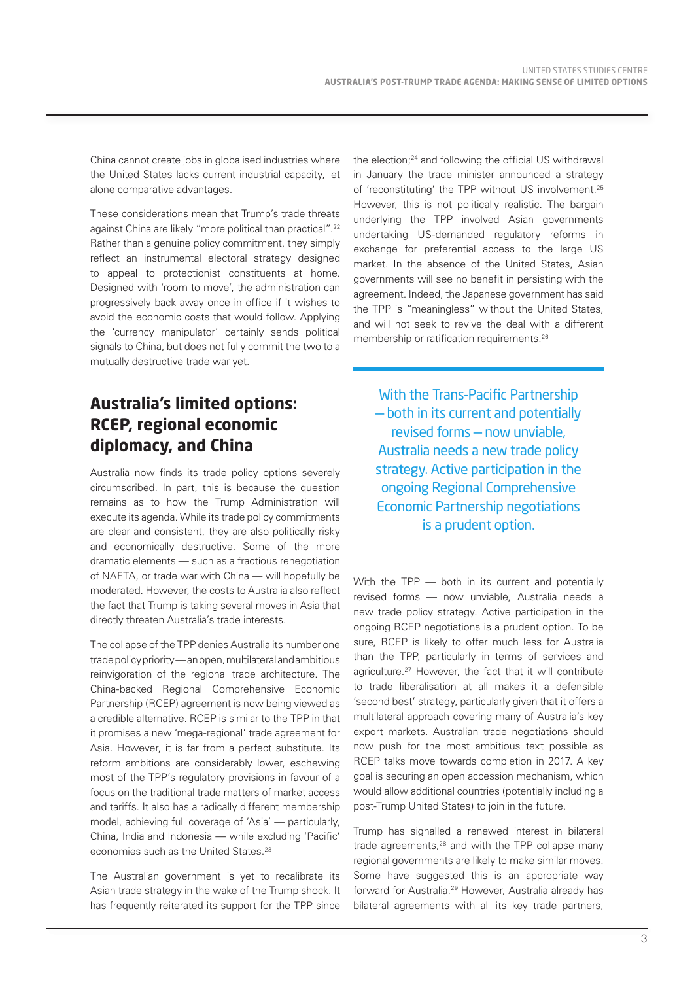China cannot create jobs in globalised industries where the United States lacks current industrial capacity, let alone comparative advantages.

These considerations mean that Trump's trade threats against China are likely "more political than practical".<sup>22</sup> Rather than a genuine policy commitment, they simply reflect an instrumental electoral strategy designed to appeal to protectionist constituents at home. Designed with 'room to move', the administration can progressively back away once in office if it wishes to avoid the economic costs that would follow. Applying the 'currency manipulator' certainly sends political signals to China, but does not fully commit the two to a mutually destructive trade war yet.

## **Australia's limited options: RCEP, regional economic diplomacy, and China**

Australia now finds its trade policy options severely circumscribed. In part, this is because the question remains as to how the Trump Administration will execute its agenda. While its trade policy commitments are clear and consistent, they are also politically risky and economically destructive. Some of the more dramatic elements — such as a fractious renegotiation of NAFTA, or trade war with China — will hopefully be moderated. However, the costs to Australia also reflect the fact that Trump is taking several moves in Asia that directly threaten Australia's trade interests.

The collapse of the TPP denies Australia its number one trade policy priority — an open, multilateral and ambitious reinvigoration of the regional trade architecture. The China-backed Regional Comprehensive Economic Partnership (RCEP) agreement is now being viewed as a credible alternative. RCEP is similar to the TPP in that it promises a new 'mega-regional' trade agreement for Asia. However, it is far from a perfect substitute. Its reform ambitions are considerably lower, eschewing most of the TPP's regulatory provisions in favour of a focus on the traditional trade matters of market access and tariffs. It also has a radically different membership model, achieving full coverage of 'Asia' — particularly, China, India and Indonesia — while excluding 'Pacific' economies such as the United States.<sup>23</sup>

The Australian government is yet to recalibrate its Asian trade strategy in the wake of the Trump shock. It has frequently reiterated its support for the TPP since

the election;<sup>24</sup> and following the official US withdrawal in January the trade minister announced a strategy of 'reconstituting' the TPP without US involvement.25 However, this is not politically realistic. The bargain underlying the TPP involved Asian governments undertaking US-demanded regulatory reforms in exchange for preferential access to the large US market. In the absence of the United States, Asian governments will see no benefit in persisting with the agreement. Indeed, the Japanese government has said the TPP is "meaningless" without the United States, and will not seek to revive the deal with a different membership or ratification requirements.26

With the Trans-Pacific Partnership — both in its current and potentially revised forms — now unviable, Australia needs a new trade policy strategy. Active participation in the ongoing Regional Comprehensive Economic Partnership negotiations is a prudent option.

With the TPP — both in its current and potentially revised forms — now unviable, Australia needs a new trade policy strategy. Active participation in the ongoing RCEP negotiations is a prudent option. To be sure, RCEP is likely to offer much less for Australia than the TPP, particularly in terms of services and agriculture.27 However, the fact that it will contribute to trade liberalisation at all makes it a defensible 'second best' strategy, particularly given that it offers a multilateral approach covering many of Australia's key export markets. Australian trade negotiations should now push for the most ambitious text possible as RCEP talks move towards completion in 2017. A key goal is securing an open accession mechanism, which would allow additional countries (potentially including a post-Trump United States) to join in the future.

Trump has signalled a renewed interest in bilateral trade agreements,<sup>28</sup> and with the TPP collapse many regional governments are likely to make similar moves. Some have suggested this is an appropriate way forward for Australia.29 However, Australia already has bilateral agreements with all its key trade partners,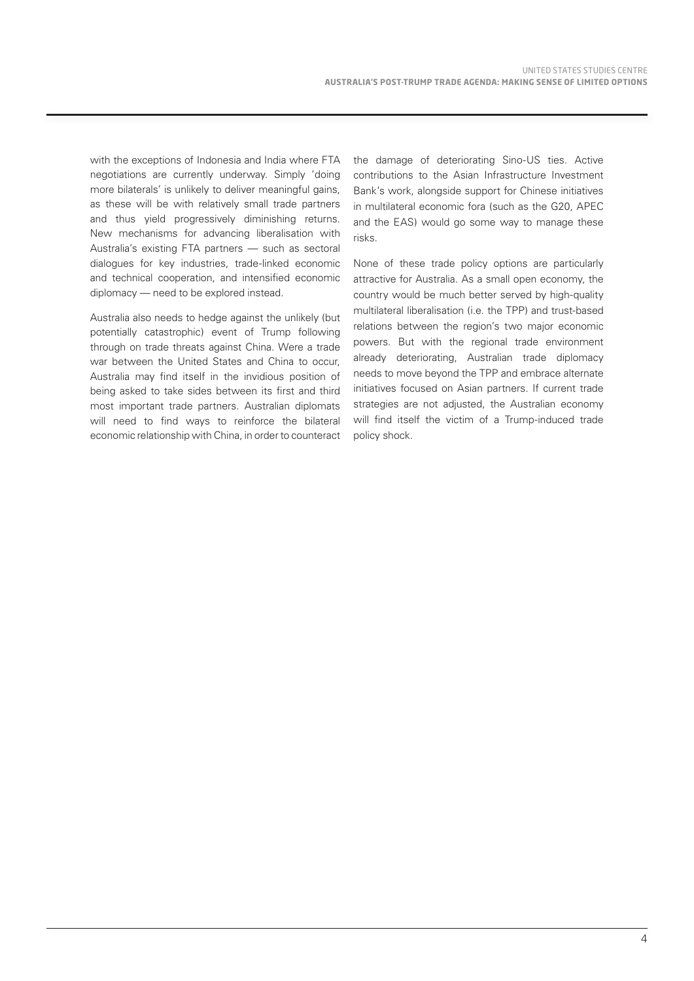with the exceptions of Indonesia and India where FTA negotiations are currently underway. Simply 'doing more bilaterals' is unlikely to deliver meaningful gains, as these will be with relatively small trade partners and thus yield progressively diminishing returns. New mechanisms for advancing liberalisation with Australia's existing FTA partners — such as sectoral dialogues for key industries, trade-linked economic and technical cooperation, and intensified economic diplomacy — need to be explored instead.

Australia also needs to hedge against the unlikely (but potentially catastrophic) event of Trump following through on trade threats against China. Were a trade war between the United States and China to occur, Australia may find itself in the invidious position of being asked to take sides between its first and third most important trade partners. Australian diplomats will need to find ways to reinforce the bilateral economic relationship with China, in order to counteract the damage of deteriorating Sino-US ties. Active contributions to the Asian Infrastructure Investment Bank's work, alongside support for Chinese initiatives in multilateral economic fora (such as the G20, APEC and the EAS) would go some way to manage these risks.

None of these trade policy options are particularly attractive for Australia. As a small open economy, the country would be much better served by high-quality multilateral liberalisation (i.e. the TPP) and trust-based relations between the region's two major economic powers. But with the regional trade environment already deteriorating, Australian trade diplomacy needs to move beyond the TPP and embrace alternate initiatives focused on Asian partners. If current trade strategies are not adjusted, the Australian economy will find itself the victim of a Trump-induced trade policy shock.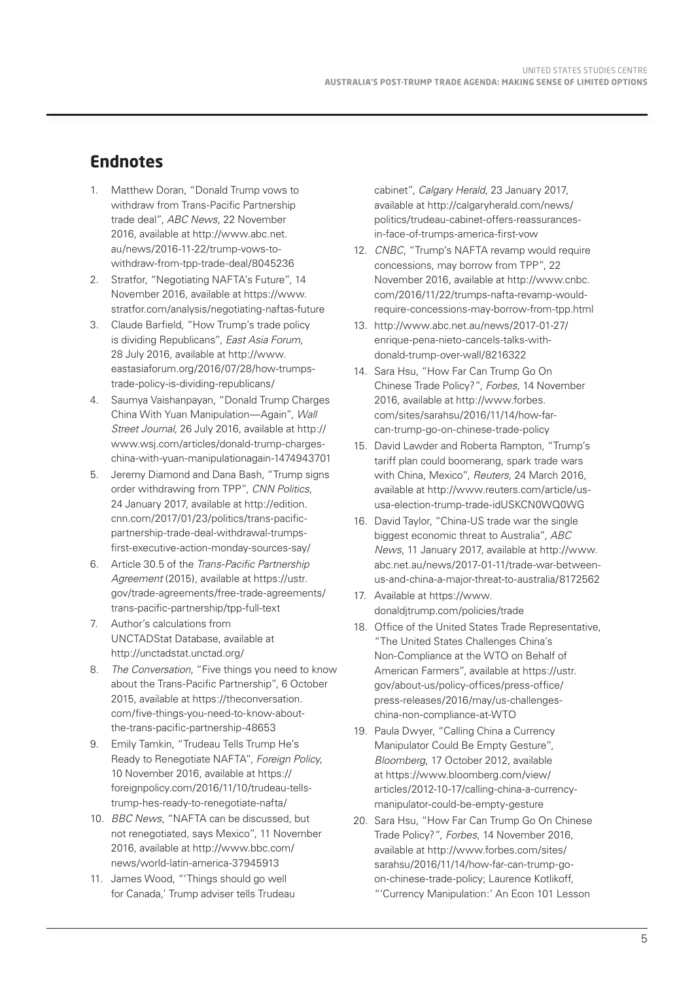### **Endnotes**

- 1. Matthew Doran, "Donald Trump vows to withdraw from Trans-Pacific Partnership trade deal", *ABC News*, 22 November 2016, available at http://www.abc.net. au/news/2016-11-22/trump-vows-towithdraw-from-tpp-trade-deal/8045236
- 2. Stratfor, "Negotiating NAFTA's Future", 14 November 2016, available at https://www. stratfor.com/analysis/negotiating-naftas-future
- 3. Claude Barfield, "How Trump's trade policy is dividing Republicans", *East Asia Forum*, 28 July 2016, available at http://www. eastasiaforum.org/2016/07/28/how-trumpstrade-policy-is-dividing-republicans/
- 4. Saumya Vaishanpayan, "Donald Trump Charges China With Yuan Manipulation—Again", *Wall Street Journal*, 26 July 2016, available at http:// www.wsj.com/articles/donald-trump-chargeschina-with-yuan-manipulationagain-1474943701
- 5. Jeremy Diamond and Dana Bash, "Trump signs order withdrawing from TPP", *CNN Politics*, 24 January 2017, available at http://edition. cnn.com/2017/01/23/politics/trans-pacificpartnership-trade-deal-withdrawal-trumpsfirst-executive-action-monday-sources-say/
- 6. Article 30.5 of the *Trans-Pacific Partnership Agreement* (2015), available at https://ustr. gov/trade-agreements/free-trade-agreements/ trans-pacific-partnership/tpp-full-text
- 7. Author's calculations from UNCTADStat Database, available at http://unctadstat.unctad.org/
- 8. *The Conversation*, "Five things you need to know about the Trans-Pacific Partnership", 6 October 2015, available at https://theconversation. com/five-things-you-need-to-know-aboutthe-trans-pacific-partnership-48653
- 9. Emily Tamkin, "Trudeau Tells Trump He's Ready to Renegotiate NAFTA", *Foreign Policy*, 10 November 2016, available at https:// foreignpolicy.com/2016/11/10/trudeau-tellstrump-hes-ready-to-renegotiate-nafta/
- 10. *BBC News*, "NAFTA can be discussed, but not renegotiated, says Mexico", 11 November 2016, available at http://www.bbc.com/ news/world-latin-america-37945913
- 11. James Wood, "'Things should go well for Canada,' Trump adviser tells Trudeau

cabinet", *Calgary Herald*, 23 January 2017, available at http://calgaryherald.com/news/ politics/trudeau-cabinet-offers-reassurancesin-face-of-trumps-america-first-vow

- 12. *CNBC*, "Trump's NAFTA revamp would require concessions, may borrow from TPP", 22 November 2016, available at http://www.cnbc. com/2016/11/22/trumps-nafta-revamp-wouldrequire-concessions-may-borrow-from-tpp.html
- 13. http://www.abc.net.au/news/2017-01-27/ enrique-pena-nieto-cancels-talks-withdonald-trump-over-wall/8216322
- 14. Sara Hsu, "How Far Can Trump Go On Chinese Trade Policy?", *Forbes*, 14 November 2016, available at http://www.forbes. com/sites/sarahsu/2016/11/14/how-farcan-trump-go-on-chinese-trade-policy
- 15. David Lawder and Roberta Rampton, "Trump's tariff plan could boomerang, spark trade wars with China, Mexico", *Reuters*, 24 March 2016, available at http://www.reuters.com/article/ususa-election-trump-trade-idUSKCN0WQ0WG
- 16. David Taylor, "China-US trade war the single biggest economic threat to Australia", *ABC News*, 11 January 2017, available at http://www. abc.net.au/news/2017-01-11/trade-war-betweenus-and-china-a-major-threat-to-australia/8172562
- 17. Available at https://www. donaldjtrump.com/policies/trade
- 18. Office of the United States Trade Representative, "The United States Challenges China's Non-Compliance at the WTO on Behalf of American Farmers", available at https://ustr. gov/about-us/policy-offices/press-office/ press-releases/2016/may/us-challengeschina-non-compliance-at-WTO
- 19. Paula Dwyer, "Calling China a Currency Manipulator Could Be Empty Gesture", *Bloomberg*, 17 October 2012, available at https://www.bloomberg.com/view/ articles/2012-10-17/calling-china-a-currencymanipulator-could-be-empty-gesture
- 20. Sara Hsu, "How Far Can Trump Go On Chinese Trade Policy?", *Forbes*, 14 November 2016, available at http://www.forbes.com/sites/ sarahsu/2016/11/14/how-far-can-trump-goon-chinese-trade-policy; Laurence Kotlikoff, "'Currency Manipulation:' An Econ 101 Lesson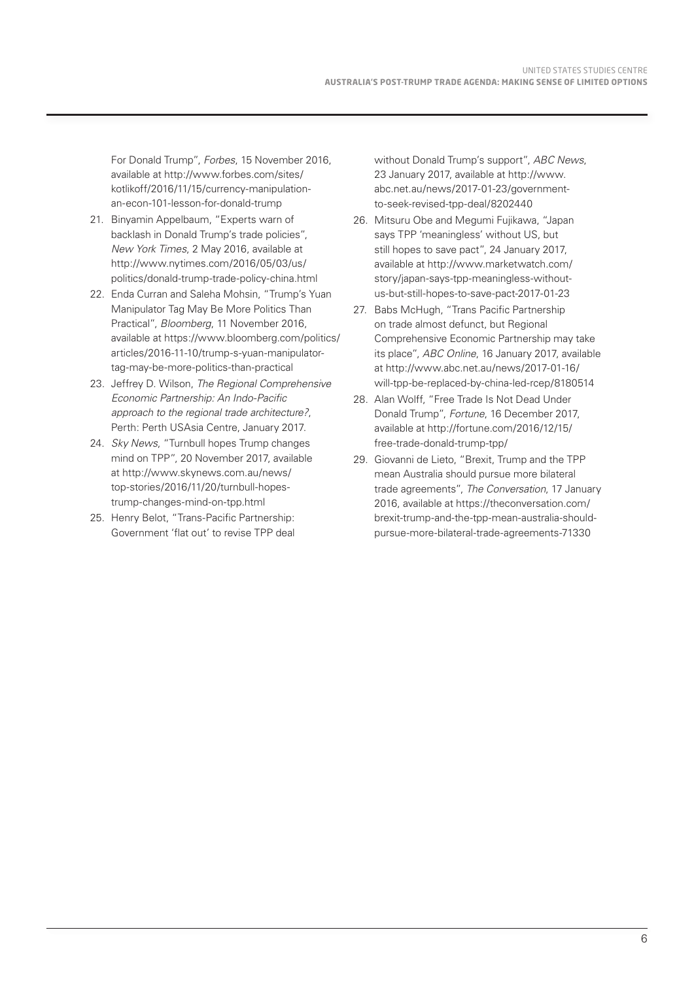For Donald Trump", *Forbes*, 15 November 2016, available at http://www.forbes.com/sites/ kotlikoff/2016/11/15/currency-manipulationan-econ-101-lesson-for-donald-trump

- 21. Binyamin Appelbaum, "Experts warn of backlash in Donald Trump's trade policies", *New York Times*, 2 May 2016, available at http://www.nytimes.com/2016/05/03/us/ politics/donald-trump-trade-policy-china.html
- 22. Enda Curran and Saleha Mohsin, "Trump's Yuan Manipulator Tag May Be More Politics Than Practical", *Bloomberg*, 11 November 2016, available at https://www.bloomberg.com/politics/ articles/2016-11-10/trump-s-yuan-manipulatortag-may-be-more-politics-than-practical
- 23. Jeffrey D. Wilson, *The Regional Comprehensive Economic Partnership: An Indo-Pacific approach to the regional trade architecture?*, Perth: Perth USAsia Centre, January 2017.
- 24. *Sky News*, "Turnbull hopes Trump changes mind on TPP", 20 November 2017, available at http://www.skynews.com.au/news/ top-stories/2016/11/20/turnbull-hopestrump-changes-mind-on-tpp.html
- 25. Henry Belot, "Trans-Pacific Partnership: Government 'flat out' to revise TPP deal

without Donald Trump's support", *ABC News*, 23 January 2017, available at http://www. abc.net.au/news/2017-01-23/governmentto-seek-revised-tpp-deal/8202440

- 26. Mitsuru Obe and Megumi Fujikawa, "Japan says TPP 'meaningless' without US, but still hopes to save pact", 24 January 2017, available at http://www.marketwatch.com/ story/japan-says-tpp-meaningless-withoutus-but-still-hopes-to-save-pact-2017-01-23
- 27. Babs McHugh, "Trans Pacific Partnership on trade almost defunct, but Regional Comprehensive Economic Partnership may take its place", *ABC Online*, 16 January 2017, available at http://www.abc.net.au/news/2017-01-16/ will-tpp-be-replaced-by-china-led-rcep/8180514
- 28. Alan Wolff, "Free Trade Is Not Dead Under Donald Trump", *Fortune*, 16 December 2017, available at http://fortune.com/2016/12/15/ free-trade-donald-trump-tpp/
- 29. Giovanni de Lieto, "Brexit, Trump and the TPP mean Australia should pursue more bilateral trade agreements", *The Conversation*, 17 January 2016, available at https://theconversation.com/ brexit-trump-and-the-tpp-mean-australia-shouldpursue-more-bilateral-trade-agreements-71330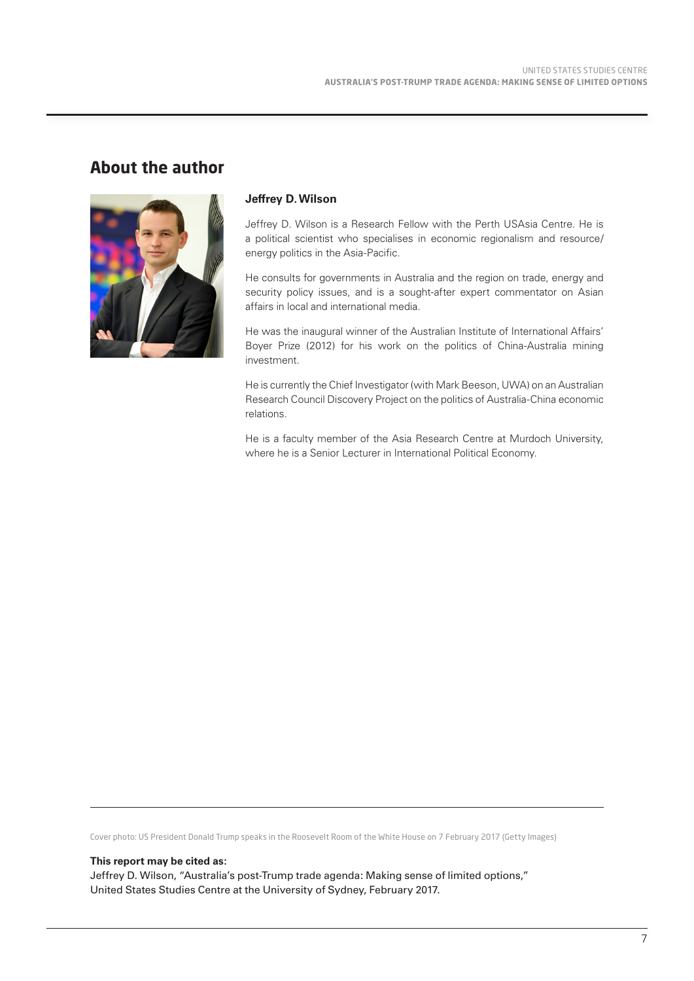#### **About the author**



#### **Jeffrey D. Wilson**

Jeffrey D. Wilson is a Research Fellow with the Perth USAsia Centre. He is a political scientist who specialises in economic regionalism and resource/ energy politics in the Asia-Pacific.

He consults for governments in Australia and the region on trade, energy and security policy issues, and is a sought-after expert commentator on Asian affairs in local and international media.

He was the inaugural winner of the Australian Institute of International Affairs' Boyer Prize (2012) for his work on the politics of China-Australia mining investment.

He is currently the Chief Investigator (with Mark Beeson, UWA) on an Australian Research Council Discovery Project on the politics of Australia-China economic relations.

He is a faculty member of the Asia Research Centre at Murdoch University, where he is a Senior Lecturer in International Political Economy.

Cover photo: US President Donald Trump speaks in the Roosevelt Room of the White House on 7 February 2017 (Getty Images)

**This report may be cited as:**

Jeffrey D. Wilson, "Australia's post-Trump trade agenda: Making sense of limited options," United States Studies Centre at the University of Sydney, February 2017.